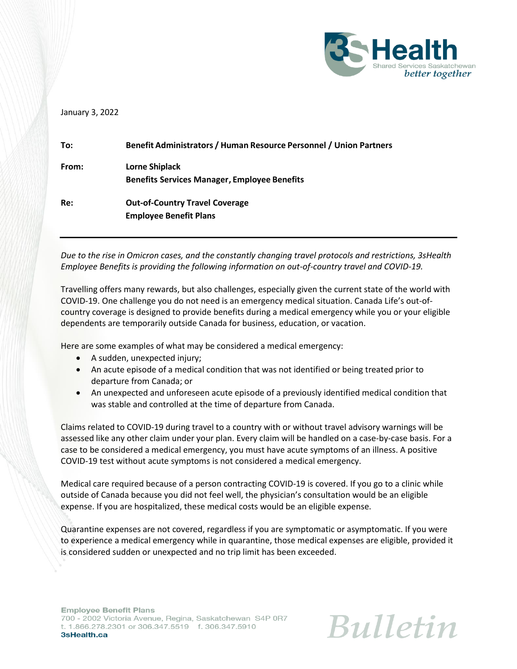

## January 3, 2022

| To:   | Benefit Administrators / Human Resource Personnel / Union Partners           |
|-------|------------------------------------------------------------------------------|
| From: | <b>Lorne Shiplack</b><br><b>Benefits Services Manager, Employee Benefits</b> |
| Re:   | <b>Out-of-Country Travel Coverage</b><br><b>Employee Benefit Plans</b>       |

*Due to the rise in Omicron cases, and the constantly changing travel protocols and restrictions, 3sHealth Employee Benefits is providing the following information on out-of-country travel and COVID-19.*

Travelling offers many rewards, but also challenges, especially given the current state of the world with COVID-19. One challenge you do not need is an emergency medical situation. Canada Life's out-ofcountry coverage is designed to provide benefits during a medical emergency while you or your eligible dependents are temporarily outside Canada for business, education, or vacation.

Here are some examples of what may be considered a medical emergency:

- A sudden, unexpected injury;
- An acute episode of a medical condition that was not identified or being treated prior to departure from Canada; or
- An unexpected and unforeseen acute episode of a previously identified medical condition that was stable and controlled at the time of departure from Canada.

Claims related to COVID-19 during travel to a country with or without travel advisory warnings will be assessed like any other claim under your plan. Every claim will be handled on a case-by-case basis. For a case to be considered a medical emergency, you must have acute symptoms of an illness. A positive COVID-19 test without acute symptoms is not considered a medical emergency.

Medical care required because of a person contracting COVID-19 is covered. If you go to a clinic while outside of Canada because you did not feel well, the physician's consultation would be an eligible expense. If you are hospitalized, these medical costs would be an eligible expense.

Quarantine expenses are not covered, regardless if you are symptomatic or asymptomatic. If you were to experience a medical emergency while in quarantine, those medical expenses are eligible, provided it is considered sudden or unexpected and no trip limit has been exceeded.